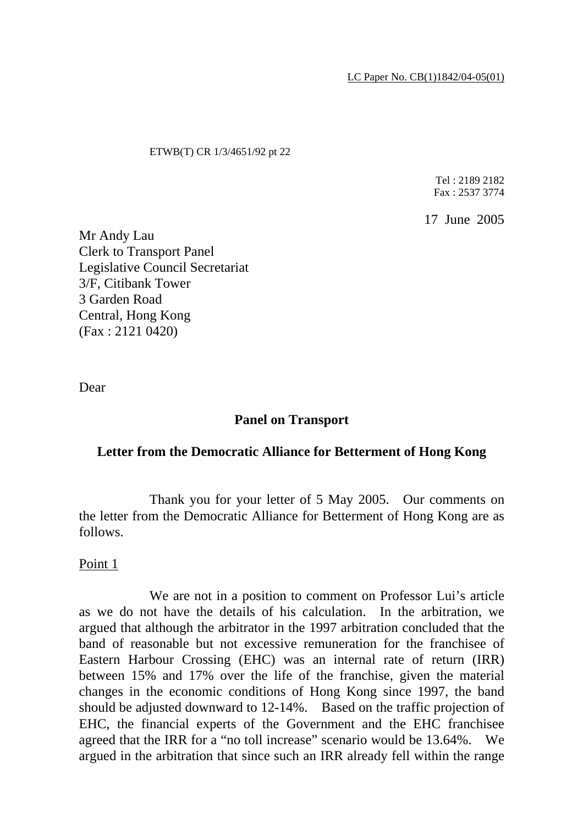LC Paper No. CB(1)1842/04-05(01)

#### ETWB(T) CR 1/3/4651/92 pt 22

Tel : 2189 2182 Fax : 2537 3774

17 June 2005

Mr Andy Lau Clerk to Transport Panel Legislative Council Secretariat 3/F, Citibank Tower 3 Garden Road Central, Hong Kong (Fax : 2121 0420)

Dear

### **Panel on Transport**

### **Letter from the Democratic Alliance for Betterment of Hong Kong**

 Thank you for your letter of 5 May 2005. Our comments on the letter from the Democratic Alliance for Betterment of Hong Kong are as follows.

Point 1

 We are not in a position to comment on Professor Lui's article as we do not have the details of his calculation. In the arbitration, we argued that although the arbitrator in the 1997 arbitration concluded that the band of reasonable but not excessive remuneration for the franchisee of Eastern Harbour Crossing (EHC) was an internal rate of return (IRR) between 15% and 17% over the life of the franchise, given the material changes in the economic conditions of Hong Kong since 1997, the band should be adjusted downward to 12-14%. Based on the traffic projection of EHC, the financial experts of the Government and the EHC franchisee agreed that the IRR for a "no toll increase" scenario would be 13.64%. We argued in the arbitration that since such an IRR already fell within the range